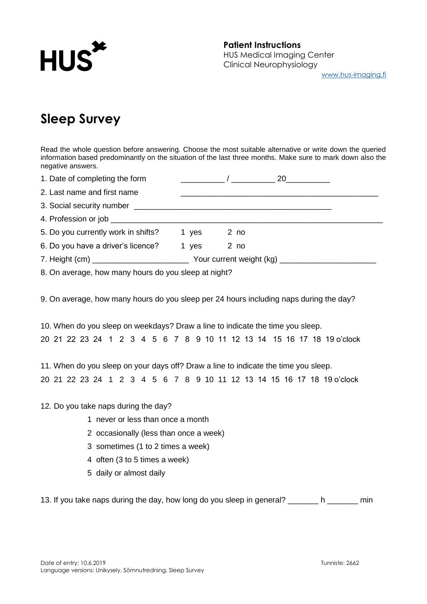

# **Sleep Survey**

Read the whole question before answering. Choose the most suitable alternative or write down the queried information based predominantly on the situation of the last three months. Make sure to mark down also the negative answers.

| 1. Date of completing the form      |       |      |  |
|-------------------------------------|-------|------|--|
| 2. Last name and first name         |       |      |  |
|                                     |       |      |  |
|                                     |       |      |  |
| 5. Do you currently work in shifts? | 1 yes | 2 no |  |
| 6. Do you have a driver's licence?  | 1 yes | 2 no |  |
|                                     |       |      |  |
|                                     |       |      |  |

8. On average, how many hours do you sleep at night?

9. On average, how many hours do you sleep per 24 hours including naps during the day?

10. When do you sleep on weekdays? Draw a line to indicate the time you sleep. 20 21 22 23 24 1 2 3 4 5 6 7 8 9 10 11 12 13 14 15 16 17 18 19 o'clock

11. When do you sleep on your days off? Draw a line to indicate the time you sleep. 20 21 22 23 24 1 2 3 4 5 6 7 8 9 10 11 12 13 14 15 16 17 18 19 o'clock

#### 12. Do you take naps during the day?

- 1 never or less than once a month
- 2 occasionally (less than once a week)
- 3 sometimes (1 to 2 times a week)
- 4 often (3 to 5 times a week)
- 5 daily or almost daily

13. If you take naps during the day, how long do you sleep in general? h equipment in the min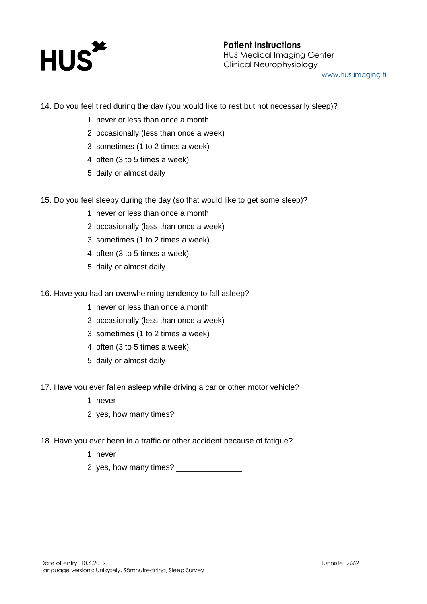

## **Patient Instructions** HUS Medical Imaging Center Clinical Neurophysiology [www.hus-imaging.fi](http://www.hus-imaging.fi/)

14. Do you feel tired during the day (you would like to rest but not necessarily sleep)?

- 1 never or less than once a month
- 2 occasionally (less than once a week)
- 3 sometimes (1 to 2 times a week)
- 4 often (3 to 5 times a week)
- 5 daily or almost daily
- 15. Do you feel sleepy during the day (so that would like to get some sleep)?
	- 1 never or less than once a month
	- 2 occasionally (less than once a week)
	- 3 sometimes (1 to 2 times a week)
	- 4 often (3 to 5 times a week)
	- 5 daily or almost daily
- 16. Have you had an overwhelming tendency to fall asleep?
	- 1 never or less than once a month
	- 2 occasionally (less than once a week)
	- 3 sometimes (1 to 2 times a week)
	- 4 often (3 to 5 times a week)
	- 5 daily or almost daily
- 17. Have you ever fallen asleep while driving a car or other motor vehicle?
	- 1 never
	- 2 yes, how many times?
- 18. Have you ever been in a traffic or other accident because of fatigue?
	- 1 never
	- 2 yes, how many times?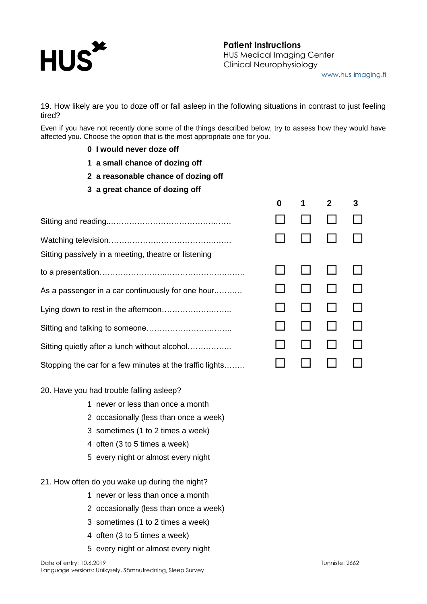

19. How likely are you to doze off or fall asleep in the following situations in contrast to just feeling tired?

Even if you have not recently done some of the things described below, try to assess how they would have affected you. Choose the option that is the most appropriate one for you.

- **0 I would never doze off**
- **1 a small chance of dozing off**
- **2 a reasonable chance of dozing off**
- **3 a great chance of dozing off**

Sitting and reading..………………………………….…… Watching television………………………………….……. Sitting passively in a meeting, theatre or listening to a presentation……………………..………………….…….. As a passenger in a car continuously for one hour.…….… Lying down to rest in the afternoon……………….…….. Sitting and talking to someone…………………….…….. Sitting quietly after a lunch without alcohol…………….. Stopping the car for a few minutes at the traffic lights……..

### 20. Have you had trouble falling asleep?

- 1 never or less than once a month
- 2 occasionally (less than once a week)
- 3 sometimes (1 to 2 times a week)
- 4 often (3 to 5 times a week)
- 5 every night or almost every night
- 21. How often do you wake up during the night?
	- 1 never or less than once a month
	- 2 occasionally (less than once a week)
	- 3 sometimes (1 to 2 times a week)
	- 4 often (3 to 5 times a week)
	- 5 every night or almost every night

|     | $0 \quad 1$                                                                                              | $2^{\sim}$ | $\mathbf{3}$ |
|-----|----------------------------------------------------------------------------------------------------------|------------|--------------|
| . . | $\begin{array}{cccccccccccccc} \Box & \Box & \Box & \Box & \Box \end{array}$                             |            |              |
| .,  | $\begin{array}{cccccccccccccc} \Box & \Box & \Box & \Box & \Box \end{array}$                             |            |              |
|     | $\begin{array}{ccccccccccccccccc} \Box & \Box & \Box & \Box & \Box \end{array}$                          |            |              |
|     | $\begin{array}{cccccccccccccc} \Box & \Box & \Box & \Box & \Box \end{array}$                             |            |              |
| .,  | $\begin{array}{cccccccccccccc} \Box & \Box & \Box & \Box & \Box \end{array}$                             |            |              |
|     | $\begin{array}{cccccccccccccc} \Box & \Box & \Box & \Box & \Box \end{array}$                             |            |              |
| . . | $\begin{array}{ccccccccccccccccc} \square & \square & \square & \square & \square & \square \end{array}$ |            |              |
|     | $\begin{array}{cccccccccccccc} \Box & \Box & \Box & \Box & \Box \end{array}$                             |            |              |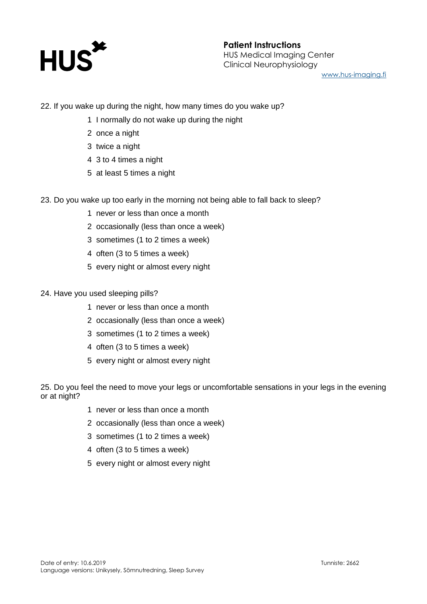

## **Patient Instructions** HUS Medical Imaging Center Clinical Neurophysiology [www.hus-imaging.fi](http://www.hus-imaging.fi/)

22. If you wake up during the night, how many times do you wake up?

- 1 I normally do not wake up during the night
- 2 once a night
- 3 twice a night
- 4 3 to 4 times a night
- 5 at least 5 times a night
- 23. Do you wake up too early in the morning not being able to fall back to sleep?
	- 1 never or less than once a month
	- 2 occasionally (less than once a week)
	- 3 sometimes (1 to 2 times a week)
	- 4 often (3 to 5 times a week)
	- 5 every night or almost every night
- 24. Have you used sleeping pills?
	- 1 never or less than once a month
	- 2 occasionally (less than once a week)
	- 3 sometimes (1 to 2 times a week)
	- 4 often (3 to 5 times a week)
	- 5 every night or almost every night

25. Do you feel the need to move your legs or uncomfortable sensations in your legs in the evening or at night?

- 1 never or less than once a month
- 2 occasionally (less than once a week)
- 3 sometimes (1 to 2 times a week)
- 4 often (3 to 5 times a week)
- 5 every night or almost every night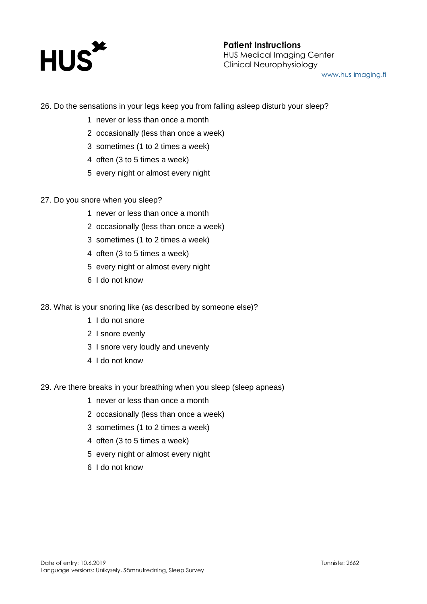

## **Patient Instructions** HUS Medical Imaging Center Clinical Neurophysiology [www.hus-imaging.fi](http://www.hus-imaging.fi/)

26. Do the sensations in your legs keep you from falling asleep disturb your sleep?

- 1 never or less than once a month
- 2 occasionally (less than once a week)
- 3 sometimes (1 to 2 times a week)
- 4 often (3 to 5 times a week)
- 5 every night or almost every night
- 27. Do you snore when you sleep?
	- 1 never or less than once a month
	- 2 occasionally (less than once a week)
	- 3 sometimes (1 to 2 times a week)
	- 4 often (3 to 5 times a week)
	- 5 every night or almost every night
	- 6 I do not know
- 28. What is your snoring like (as described by someone else)?
	- 1 I do not snore
	- 2 I snore evenly
	- 3 I snore very loudly and unevenly
	- 4 I do not know
- 29. Are there breaks in your breathing when you sleep (sleep apneas)
	- 1 never or less than once a month
	- 2 occasionally (less than once a week)
	- 3 sometimes (1 to 2 times a week)
	- 4 often (3 to 5 times a week)
	- 5 every night or almost every night
	- 6 I do not know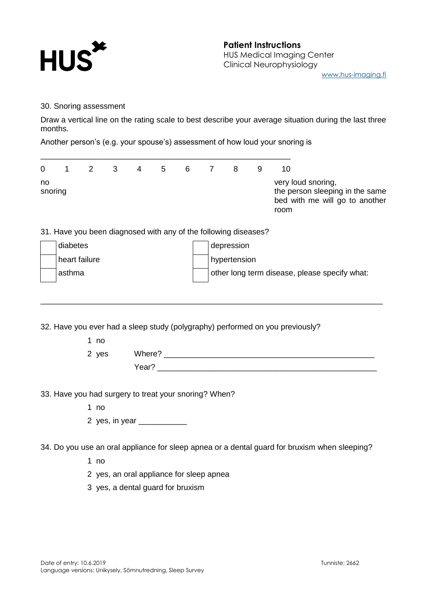

30. Snoring assessment

Draw a vertical line on the rating scale to best describe your average situation during the last three months.

Another person's (e.g. your spouse's) assessment of how loud your snoring is

\_\_\_\_\_\_\_\_\_\_\_\_\_\_\_\_\_\_\_\_\_\_\_\_\_\_\_\_\_\_\_\_\_\_\_\_\_\_\_\_\_\_\_\_\_\_\_\_\_\_\_\_\_\_\_\_\_

| $\Omega$      | 1 2 3 | $\overline{4}$ | 5 6 7 | -8 | 10                                                                                              |
|---------------|-------|----------------|-------|----|-------------------------------------------------------------------------------------------------|
| no<br>snoring |       |                |       |    | very loud snoring,<br>the person sleeping in the same<br>bed with me will go to another<br>room |

31. Have you been diagnosed with any of the following diseases?

| diabetes      | depression                                    |
|---------------|-----------------------------------------------|
| heart failure | hypertension                                  |
| asthma        | other long term disease, please specify what: |

\_\_\_\_\_\_\_\_\_\_\_\_\_\_\_\_\_\_\_\_\_\_\_\_\_\_\_\_\_\_\_\_\_\_\_\_\_\_\_\_\_\_\_\_\_\_\_\_\_\_\_\_\_\_\_\_\_\_\_\_\_\_\_\_\_\_\_\_\_\_\_\_\_\_\_\_\_\_

32. Have you ever had a sleep study (polygraphy) performed on you previously?

1 no

2 yes Where? Year? \_\_\_\_\_\_\_\_\_\_\_\_\_\_\_\_\_\_\_\_\_\_\_\_\_\_\_\_\_\_\_\_\_\_\_\_\_\_\_\_\_\_\_\_\_\_\_\_\_\_

33. Have you had surgery to treat your snoring? When?

1 no

2 yes, in year \_\_\_\_\_\_\_\_\_\_\_

34. Do you use an oral appliance for sleep apnea or a dental guard for bruxism when sleeping?

1 no

2 yes, an oral appliance for sleep apnea

3 yes, a dental guard for bruxism